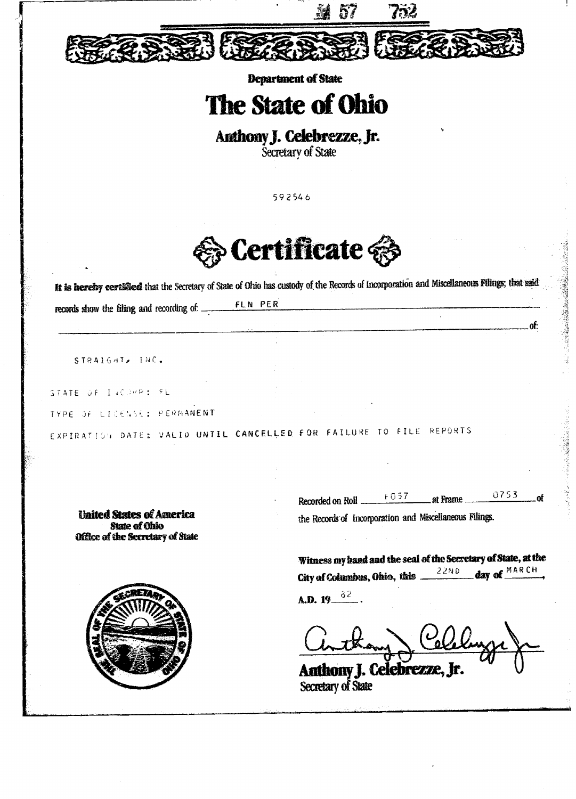

**Department of State** 

## The State of Ohio

## Anthony J. Celebrezze, Jr.

Secretary of State

592546



It is hereby certified that the Secretary of State of Ohio has custody of the Records of Incorporation and Miscellaneous Filings; that said

FLN PER records show the filing and recording of: \_\_

STRAIGHT, INC.

STATE OF INCORPS FL

TYPE OF LICENSE: PERMANENT

EXPIRATION DATE: VALID UNTIL CANCELLED FOR FAILURE TO FILE REPORTS

**United States of America State of Ohio** Office of the Secretary of State



of:

Witness my hand and the seal of the Secretary of State, at the day of MARCH City of Columbus, Ohio, this  $\frac{22ND}{\sqrt{2N}}$ 

**A.D.** 19  $\frac{32}{ }$ 

Anthony J. Celebrezze,

**Secretary of State**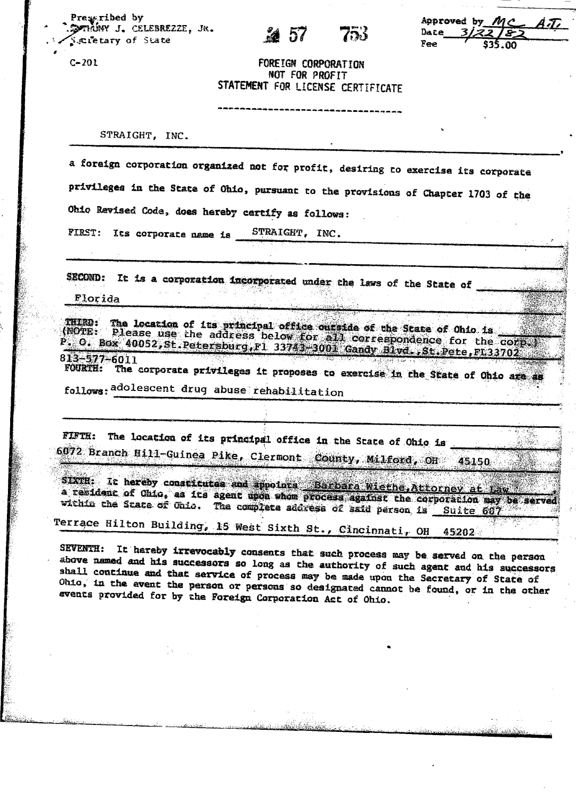Preseribed by SOTINNY J. CELEBREZZE, JR. Seretary of State

Approved by  $\emph{M}$ C 8 T i Date Fee

FOREIGN CORPORATION NOT FOR PROFIT STATEMENT FOR LICENSE CERTIFICATE

STRAIGHT, INC.

a foreign corporation organized not for profit, desiring to exercise its corporate privileges in the State of Ohio, pursuant to the provisions of Chapter 1703 of the Ohio Revised Code, does hereby certify as follows:

STRAIGHT, INC. FIRST: Its corporate name is

SECOND: It is a corporation incorporated under the laws of the State of

Florida

 $C - 201$ 

The location of its principal office outside of the State of Ohio is the sease use the address below for all correspondence for the corp. THIND: (NOTE:  $P$ . O. Box 40052, St. Petersburg, F1 33743, 3001 Gandy Blvd., St. Pete, F133702

 $813 - 577 - 6011$ The corporate privileges it proposes to exercise in the State of Ohio are as **FOURTH:** 

follows: adolescent drug abuse rehabilitation

FIFTH: The location of its principal office in the State of Ohio is 6072 Branch Hill-Guinea Pike, Clermont County, Milford, OH 45150

SIXTH: It hereby constitutes and appoints Barbara Wiethe, Attorney at Law<br>a resident of Ohio, as its agent upon whom process against the corporation may be served within the State of Onio. The complete address of said person is Suite 607

Terrace Hilton Building, 15 West Sixth St., Cincinnati, OH 45202

SEVENTH: It hereby irrevocably consents that such process may be served on the person above named and his successors so long as the authority of such agent and his successors shall continue and that service of process may be made upon the Secretary of State of Ohio, in the avent the person or persons so designated cannot be found, or in the other events provided for by the Foreign Corporation Act of Ohio.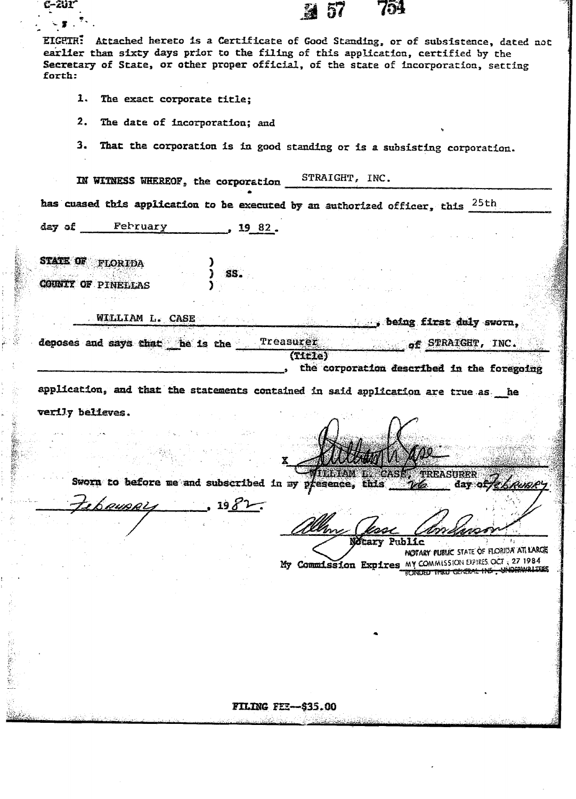EIGETH: Attached hereto is a Certificate of Good Standing, or of subsistence, dated not earlier than sixty days prior to the filing of this application, certified by the Secretary of State, or other proper official, of the state of incorporation, setting forth:

- 1. The exact corporate title;
- $2.$ The date of incorporation; and
- That the corporation is in good standing or is a subsisting corporation. 3.

STRAIGHT, INC. IN WITNESS WHEREOF, the corporation

has cuased this application to be executed by an authorized officer, this <sup>25th</sup>

SS.

day of February  $, 192.$ 

STATE OF FLORIDA **COUNTY OF PINELLAS** 

bRUBRL

Ŷ.

C-201

WILLIAM L. CASE

deposes and says that he is the Treasurer of STRAIGHT, INC. (Title) the corporation described in the foregoing

application, and that the statements contained in said application are true as he verily believes.

**ILLIAM L. CASES TREASURER** Sworn to before me and subscribed in my presence, this day of /e

Notary Public NOTARY PUBLIC STATE OF FLORIDA ATLIARCE My Commission Expires MY COMMISSION EXPRESSOCT 327 1984 FONDED THRU GENERAL INS , UNDERWRITESS

being first duly sworn,

FILING FEE-\$35.00